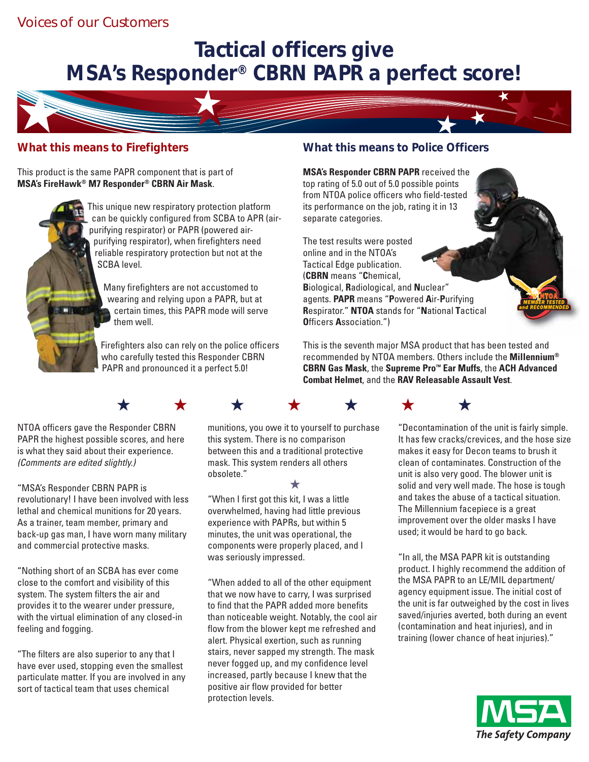## Voices of our Customers

## **Tactical officers give MSA's Responder® CBRN PAPR a perfect score!**



### **What this means to Firefighters**

This product is the same PAPR component that is part of **MSA's FireHawk® M7 Responder® CBRN Air Mask**.



This unique new respiratory protection platform can be quickly configured from SCBA to APR (airpurifying respirator) or PAPR (powered airpurifying respirator), when firefighters need reliable respiratory protection but not at the SCBA level.

Many firefighters are not accustomed to wearing and relying upon a PAPR, but at certain times, this PAPR mode will serve them well.

Firefighters also can rely on the police officers who carefully tested this Responder CBRN PAPR and pronounced it a perfect 5.0!

#### **What this means to Police Officers**

**MSA's Responder CBRN PAPR** received the top rating of 5.0 out of 5.0 possible points from NTOA police officers who field-tested its performance on the job, rating it in 13 separate categories.

The test results were posted online and in the NTOA's Tactical Edge publication. (**CBRN** means "**C**hemical, **B**iological, **R**adiological, and **N**uclear" agents. **PAPR** means "**P**owered **A**ir-**P**urifying **R**espirator." **NTOA** stands for "**N**ational **T**actical **O**fficers **A**ssociation.")

This is the seventh major MSA product that has been tested and recommended by NTOA members. Others include the **Millennium® CBRN Gas Mask**, the **Supreme Pro™ Ear Muffs**, the **ACH Advanced Combat Helmet**, and the **RAV Releasable Assault Vest**.



NTOA officers gave the Responder CBRN PAPR the highest possible scores, and here is what they said about their experience. *(Comments are edited slightly.)*

"MSA's Responder CBRN PAPR is revolutionary! I have been involved with less lethal and chemical munitions for 20 years. As a trainer, team member, primary and back-up gas man, I have worn many military and commercial protective masks.

"Nothing short of an SCBA has ever come close to the comfort and visibility of this system. The system filters the air and provides it to the wearer under pressure, with the virtual elimination of any closed-in feeling and fogging.

"The filters are also superior to any that I have ever used, stopping even the smallest particulate matter. If you are involved in any sort of tactical team that uses chemical

munitions, you owe it to yourself to purchase this system. There is no comparison between this and a traditional protective mask. This system renders all others obsolete."

★

"When I first got this kit, I was a little overwhelmed, having had little previous experience with PAPRs, but within 5 minutes, the unit was operational, the components were properly placed, and I was seriously impressed.

"When added to all of the other equipment that we now have to carry, I was surprised to find that the PAPR added more benefits than noticeable weight. Notably, the cool air flow from the blower kept me refreshed and alert. Physical exertion, such as running stairs, never sapped my strength. The mask never fogged up, and my confidence level increased, partly because I knew that the positive air flow provided for better protection levels.

"Decontamination of the unit is fairly simple. It has few cracks/crevices, and the hose size makes it easy for Decon teams to brush it clean of contaminates. Construction of the unit is also very good. The blower unit is solid and very well made. The hose is tough and takes the abuse of a tactical situation. The Millennium facepiece is a great improvement over the older masks I have used; it would be hard to go back.

"In all, the MSA PAPR kit is outstanding product. I highly recommend the addition of the MSA PAPR to an LE/MIL department/ agency equipment issue. The initial cost of the unit is far outweighed by the cost in lives saved/injuries averted, both during an event (contamination and heat injuries), and in training (lower chance of heat injuries)."